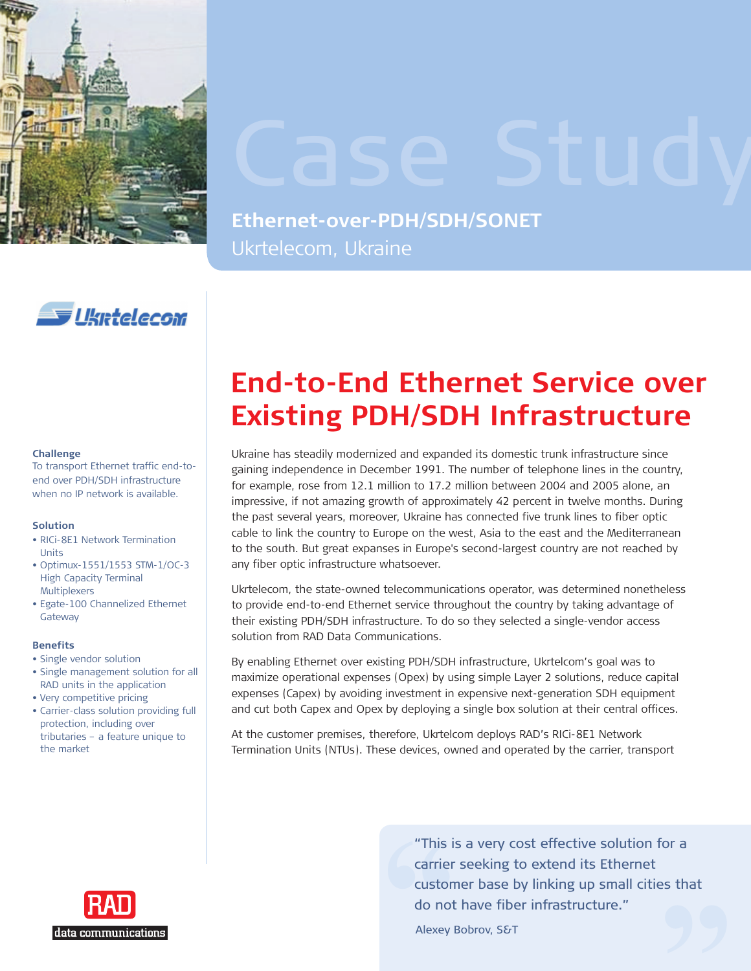

# **Ethernet-over-PDH/SDH/SONET** Ukrtelecom, Ukraine

# **Jestelecom**

### **Challenge**

To transport Ethernet traffic end-toend over PDH/SDH infrastructure when no IP network is available.

## **Solution**

- RICi-8E1 Network Termination Units
- Optimux-1551/1553 STM-1/OC-3 High Capacity Terminal Multiplexers
- Egate-100 Channelized Ethernet **Gateway**

### **Benefits**

- Single vendor solution
- Single management solution for all RAD units in the application
- Very competitive pricing
- Carrier-class solution providing full protection, including over tributaries – a feature unique to the market

# **End-to-End Ethernet Service over Existing PDH/SDH Infrastructure**

Ukraine has steadily modernized and expanded its domestic trunk infrastructure since gaining independence in December 1991. The number of telephone lines in the country, for example, rose from 12.1 million to 17.2 million between 2004 and 2005 alone, an impressive, if not amazing growth of approximately 42 percent in twelve months. During the past several years, moreover, Ukraine has connected five trunk lines to fiber optic cable to link the country to Europe on the west, Asia to the east and the Mediterranean to the south. But great expanses in Europe's second-largest country are not reached by any fiber optic infrastructure whatsoever.

Ukrtelecom, the state-owned telecommunications operator, was determined nonetheless to provide end-to-end Ethernet service throughout the country by taking advantage of their existing PDH/SDH infrastructure. To do so they selected a single-vendor access solution from RAD Data Communications.

By enabling Ethernet over existing PDH/SDH infrastructure, Ukrtelcom's goal was to maximize operational expenses (Opex) by using simple Layer 2 solutions, reduce capital expenses (Capex) by avoiding investment in expensive next-generation SDH equipment and cut both Capex and Opex by deploying a single box solution at their central offices. Idincations.<br>
sting PDH/SDH<br>
es (Opex) by us<br>
investment in<br>
by deploying<br>
arefore, Ukrteld<br>
see devices, ov

At the customer premises, therefore, Ukrtelcom deploys RAD's RICi-8E1 Network Termination Units (NTUs). These devices, owned and operated by the carrier, transport

> "This is a very cost effective solution for a carrier seeking to extend its Ethernet customer base by linking up small cities that do not have fiber infrastructure."

Alexey Bobrov, S&T